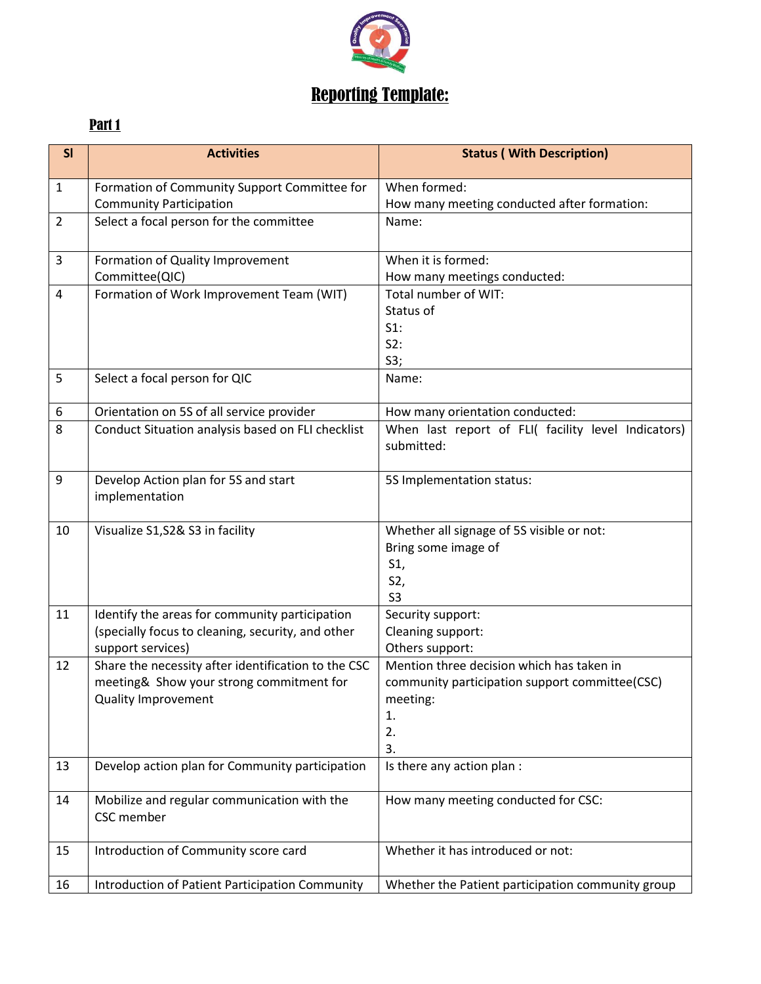

## Reporting Template:

## Part 1

| SI             | <b>Activities</b>                                      | <b>Status (With Description)</b>                                  |
|----------------|--------------------------------------------------------|-------------------------------------------------------------------|
| $\mathbf{1}$   | Formation of Community Support Committee for           | When formed:                                                      |
|                | <b>Community Participation</b>                         | How many meeting conducted after formation:                       |
| $\overline{2}$ | Select a focal person for the committee                | Name:                                                             |
| 3              | Formation of Quality Improvement                       | When it is formed:                                                |
|                | Committee(QIC)                                         | How many meetings conducted:                                      |
| $\overline{4}$ | Formation of Work Improvement Team (WIT)               | Total number of WIT:<br>Status of                                 |
|                |                                                        | $S1$ :                                                            |
|                |                                                        | S2:                                                               |
|                |                                                        | S3;                                                               |
| 5              | Select a focal person for QIC                          | Name:                                                             |
| 6              | Orientation on 5S of all service provider              | How many orientation conducted:                                   |
| 8              | Conduct Situation analysis based on FLI checklist      | When last report of FLI( facility level Indicators)<br>submitted: |
| 9              | Develop Action plan for 5S and start<br>implementation | 5S Implementation status:                                         |
| 10             | Visualize S1, S2& S3 in facility                       | Whether all signage of 5S visible or not:                         |
|                |                                                        | Bring some image of                                               |
|                |                                                        | S1,                                                               |
|                |                                                        | S2,                                                               |
| 11             | Identify the areas for community participation         | S <sub>3</sub><br>Security support:                               |
|                | (specially focus to cleaning, security, and other      | Cleaning support:                                                 |
|                | support services)                                      | Others support:                                                   |
| 12             | Share the necessity after identification to the CSC    | Mention three decision which has taken in                         |
|                | meeting& Show your strong commitment for               | community participation support committee(CSC)                    |
|                | Quality Improvement                                    | meeting:                                                          |
|                |                                                        | 1.                                                                |
|                |                                                        | 2.<br>3.                                                          |
| 13             | Develop action plan for Community participation        | Is there any action plan :                                        |
| 14             | Mobilize and regular communication with the            | How many meeting conducted for CSC:                               |
|                | CSC member                                             |                                                                   |
| 15             | Introduction of Community score card                   | Whether it has introduced or not:                                 |
| 16             | Introduction of Patient Participation Community        | Whether the Patient participation community group                 |